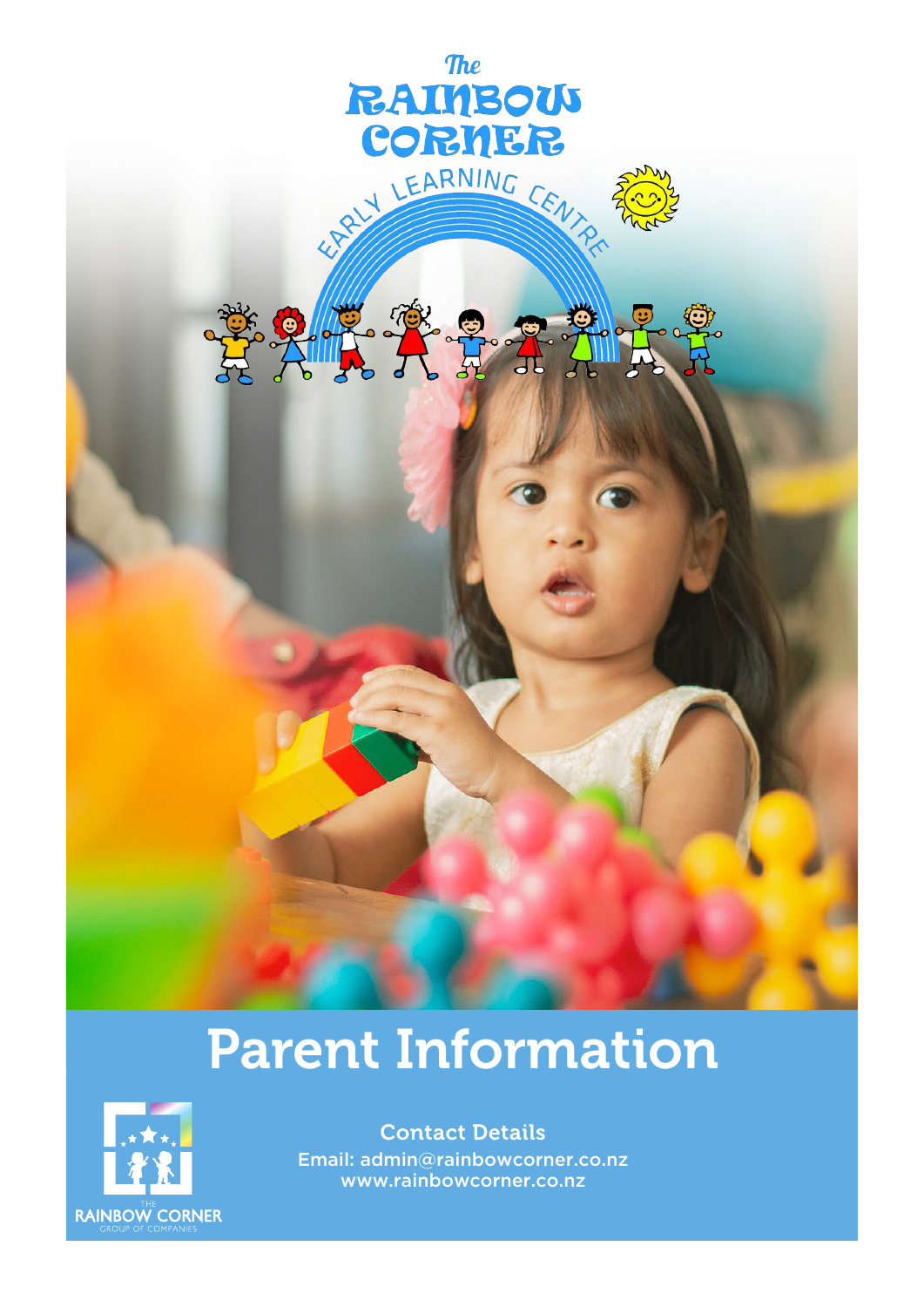

# Parent Information



Contact Details Email: admin@rainbowcorner.co.nz www.rainbowcorner.co.nz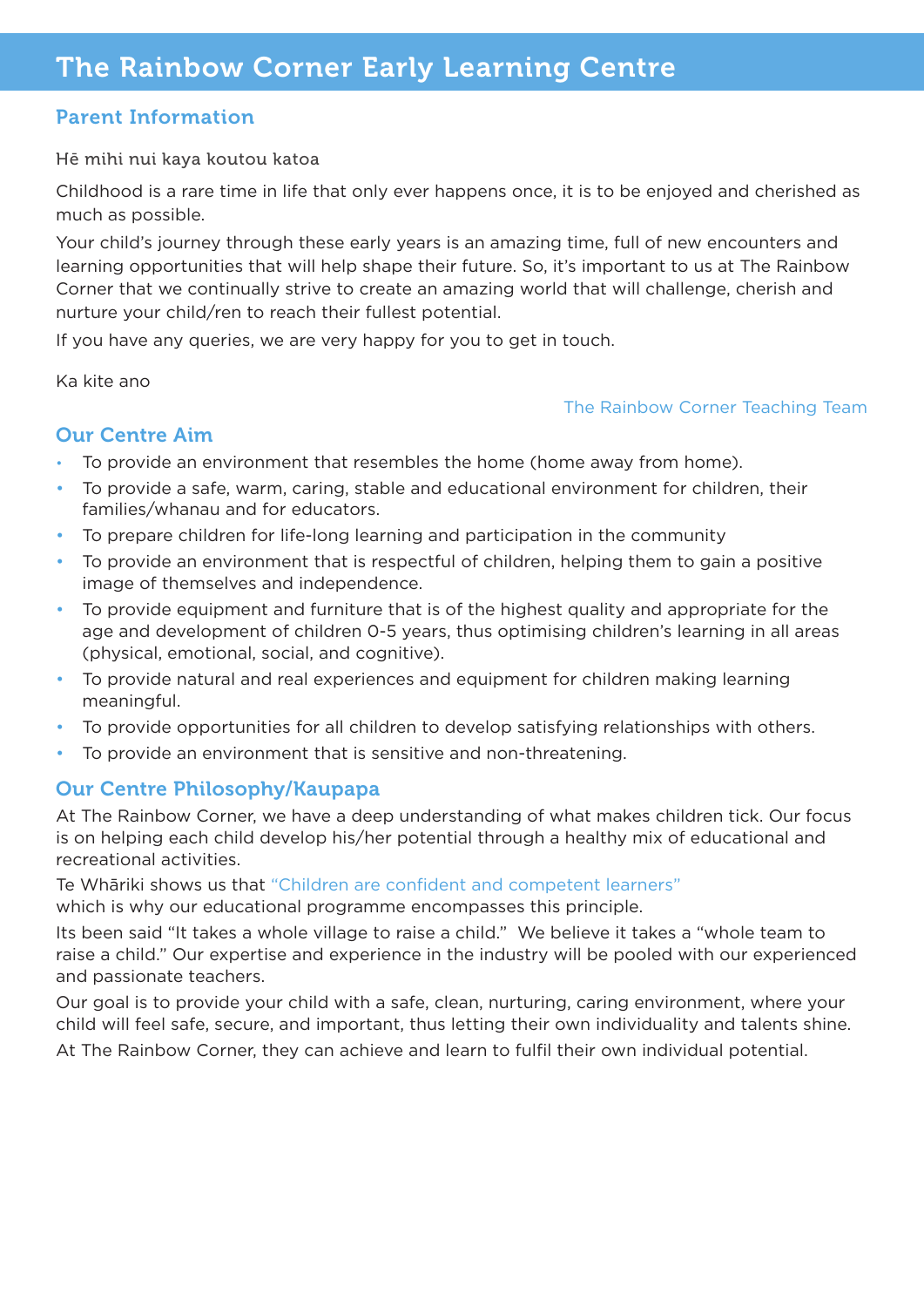## Parent Information

Hē mihi nui kaya koutou katoa

Childhood is a rare time in life that only ever happens once, it is to be enjoyed and cherished as much as possible.

Your child's journey through these early years is an amazing time, full of new encounters and learning opportunities that will help shape their future. So, it's important to us at The Rainbow Corner that we continually strive to create an amazing world that will challenge, cherish and nurture your child/ren to reach their fullest potential.

If you have any queries, we are very happy for you to get in touch.

Ka kite ano

#### The Rainbow Corner Teaching Team

## Our Centre Aim

- To provide an environment that resembles the home (home away from home).
- To provide a safe, warm, caring, stable and educational environment for children, their families/whanau and for educators.
- To prepare children for life-long learning and participation in the community
- To provide an environment that is respectful of children, helping them to gain a positive image of themselves and independence.
- To provide equipment and furniture that is of the highest quality and appropriate for the age and development of children 0-5 years, thus optimising children's learning in all areas (physical, emotional, social, and cognitive).
- To provide natural and real experiences and equipment for children making learning meaningful.
- To provide opportunities for all children to develop satisfying relationships with others.
- To provide an environment that is sensitive and non-threatening.

## Our Centre Philosophy/Kaupapa

At The Rainbow Corner, we have a deep understanding of what makes children tick. Our focus is on helping each child develop his/her potential through a healthy mix of educational and recreational activities.

Te Whāriki shows us that "Children are confident and competent learners"

which is why our educational programme encompasses this principle.

Its been said "It takes a whole village to raise a child." We believe it takes a "whole team to raise a child." Our expertise and experience in the industry will be pooled with our experienced and passionate teachers.

Our goal is to provide your child with a safe, clean, nurturing, caring environment, where your child will feel safe, secure, and important, thus letting their own individuality and talents shine.

At The Rainbow Corner, they can achieve and learn to fulfil their own individual potential.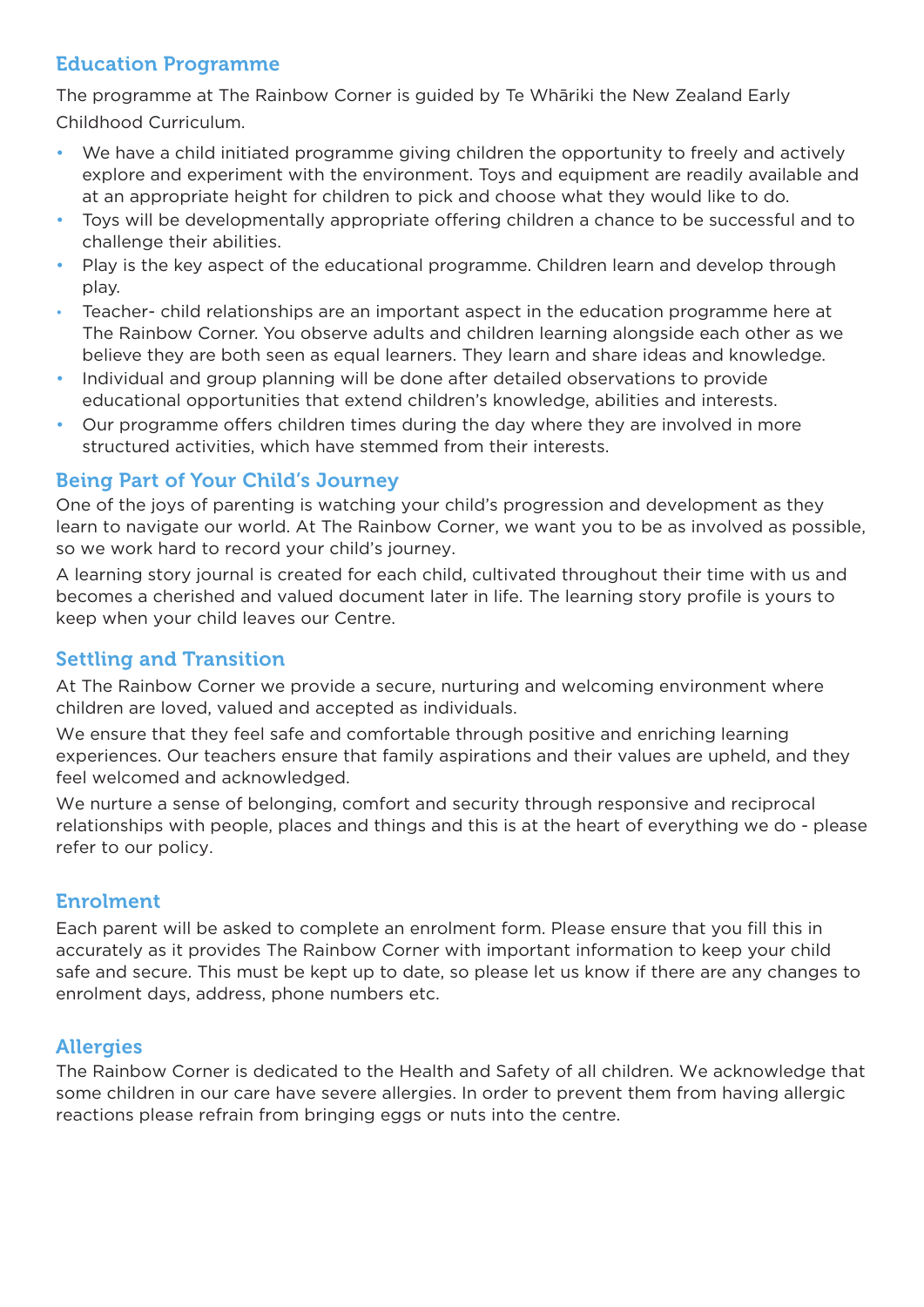# Education Programme

The programme at The Rainbow Corner is guided by Te Whāriki the New Zealand Early Childhood Curriculum.

- We have a child initiated programme giving children the opportunity to freely and actively explore and experiment with the environment. Toys and equipment are readily available and at an appropriate height for children to pick and choose what they would like to do.
- Toys will be developmentally appropriate offering children a chance to be successful and to challenge their abilities.
- Play is the key aspect of the educational programme. Children learn and develop through play.
- Teacher- child relationships are an important aspect in the education programme here at The Rainbow Corner. You observe adults and children learning alongside each other as we believe they are both seen as equal learners. They learn and share ideas and knowledge.
- Individual and group planning will be done after detailed observations to provide educational opportunities that extend children's knowledge, abilities and interests.
- Our programme offers children times during the day where they are involved in more structured activities, which have stemmed from their interests.

# Being Part of Your Child's Journey

One of the joys of parenting is watching your child's progression and development as they learn to navigate our world. At The Rainbow Corner, we want you to be as involved as possible, so we work hard to record your child's journey.

A learning story journal is created for each child, cultivated throughout their time with us and becomes a cherished and valued document later in life. The learning story profile is yours to keep when your child leaves our Centre.

## Settling and Transition

At The Rainbow Corner we provide a secure, nurturing and welcoming environment where children are loved, valued and accepted as individuals.

We ensure that they feel safe and comfortable through positive and enriching learning experiences. Our teachers ensure that family aspirations and their values are upheld, and they feel welcomed and acknowledged.

We nurture a sense of belonging, comfort and security through responsive and reciprocal relationships with people, places and things and this is at the heart of everything we do - please refer to our policy.

## Enrolment

Each parent will be asked to complete an enrolment form. Please ensure that you fill this in accurately as it provides The Rainbow Corner with important information to keep your child safe and secure. This must be kept up to date, so please let us know if there are any changes to enrolment days, address, phone numbers etc.

## **Allergies**

The Rainbow Corner is dedicated to the Health and Safety of all children. We acknowledge that some children in our care have severe allergies. In order to prevent them from having allergic reactions please refrain from bringing eggs or nuts into the centre.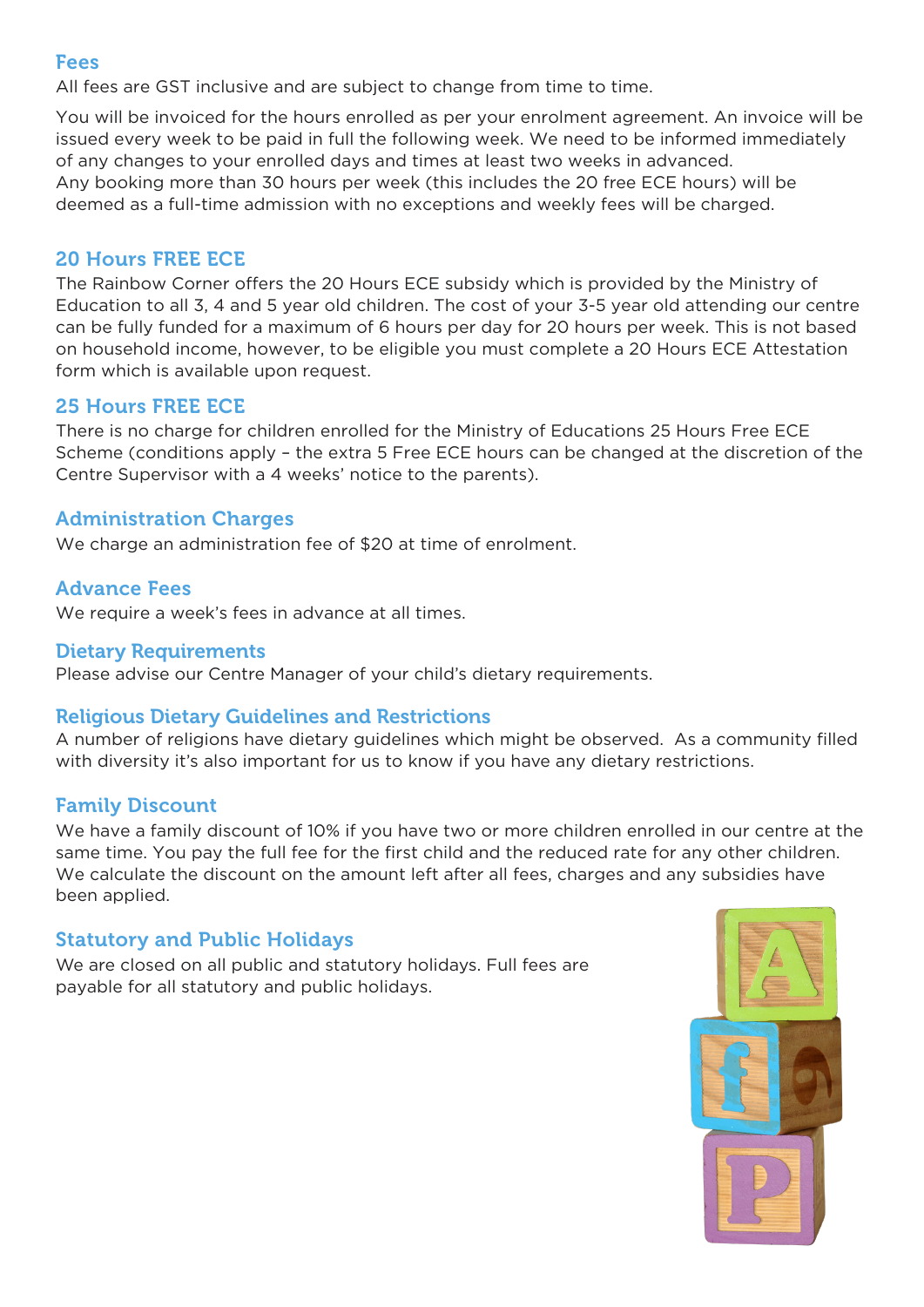#### Fees

All fees are GST inclusive and are subject to change from time to time.

You will be invoiced for the hours enrolled as per your enrolment agreement. An invoice will be issued every week to be paid in full the following week. We need to be informed immediately of any changes to your enrolled days and times at least two weeks in advanced. Any booking more than 30 hours per week (this includes the 20 free ECE hours) will be deemed as a full-time admission with no exceptions and weekly fees will be charged.

#### 20 Hours FREE ECE

The Rainbow Corner offers the 20 Hours ECE subsidy which is provided by the Ministry of Education to all 3, 4 and 5 year old children. The cost of your 3-5 year old attending our centre can be fully funded for a maximum of 6 hours per day for 20 hours per week. This is not based on household income, however, to be eligible you must complete a 20 Hours ECE Attestation form which is available upon request.

#### 25 Hours FREE ECE

There is no charge for children enrolled for the Ministry of Educations 25 Hours Free ECE Scheme (conditions apply – the extra 5 Free ECE hours can be changed at the discretion of the Centre Supervisor with a 4 weeks' notice to the parents).

#### Administration Charges

We charge an administration fee of \$20 at time of enrolment.

#### Advance Fees

We require a week's fees in advance at all times.

#### Dietary Requirements

Please advise our Centre Manager of your child's dietary requirements.

#### Religious Dietary Guidelines and Restrictions

A number of religions have dietary guidelines which might be observed. As a community filled with diversity it's also important for us to know if you have any dietary restrictions.

## Family Discount

We have a family discount of 10% if you have two or more children enrolled in our centre at the same time. You pay the full fee for the first child and the reduced rate for any other children. We calculate the discount on the amount left after all fees, charges and any subsidies have been applied.

## Statutory and Public Holidays

We are closed on all public and statutory holidays. Full fees are payable for all statutory and public holidays.

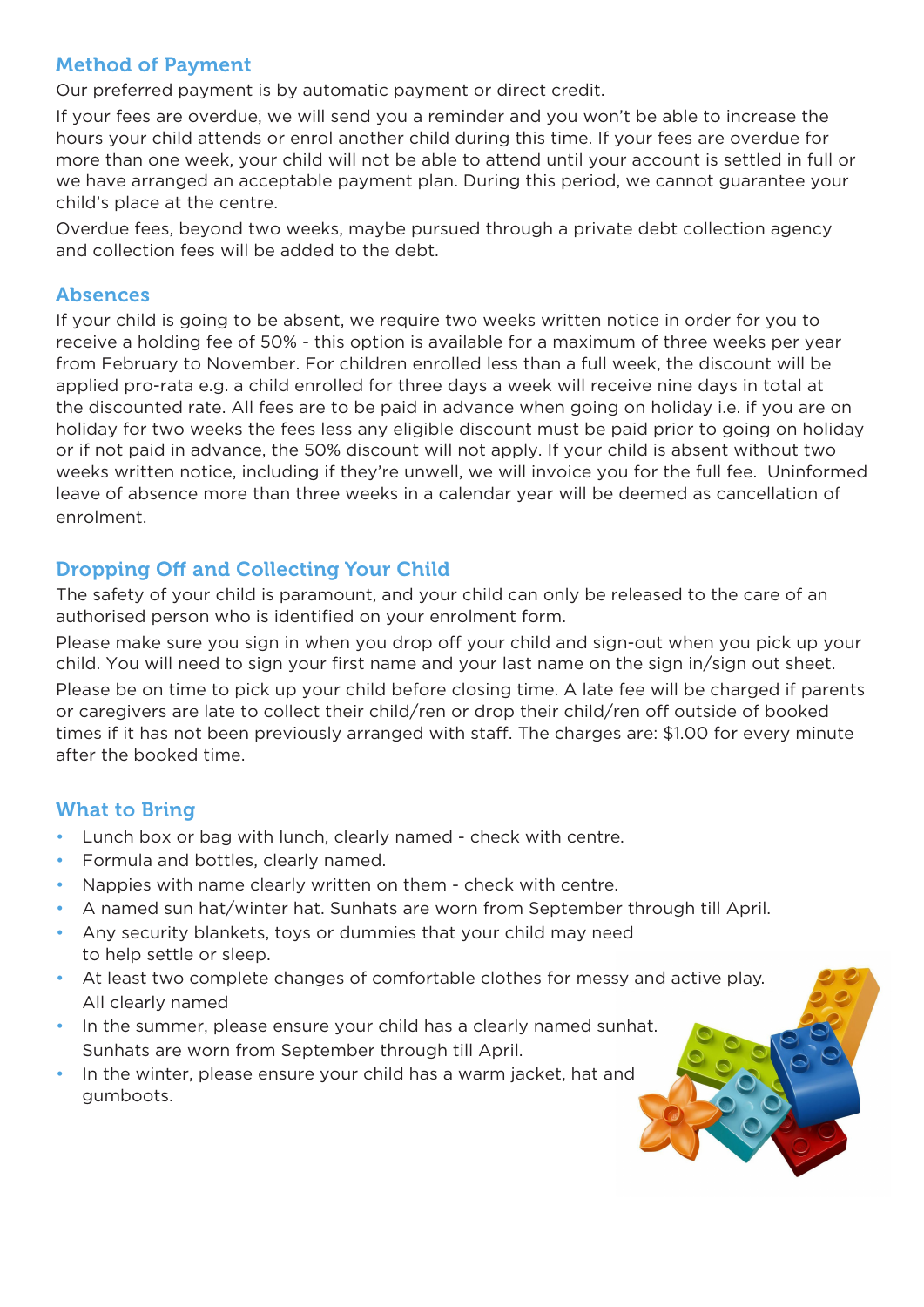## Method of Payment

Our preferred payment is by automatic payment or direct credit.

If your fees are overdue, we will send you a reminder and you won't be able to increase the hours your child attends or enrol another child during this time. If your fees are overdue for more than one week, your child will not be able to attend until your account is settled in full or we have arranged an acceptable payment plan. During this period, we cannot guarantee your child's place at the centre.

Overdue fees, beyond two weeks, maybe pursued through a private debt collection agency and collection fees will be added to the debt.

## Absences

If your child is going to be absent, we require two weeks written notice in order for you to receive a holding fee of 50% - this option is available for a maximum of three weeks per year from February to November. For children enrolled less than a full week, the discount will be applied pro-rata e.g. a child enrolled for three days a week will receive nine days in total at the discounted rate. All fees are to be paid in advance when going on holiday i.e. if you are on holiday for two weeks the fees less any eligible discount must be paid prior to going on holiday or if not paid in advance, the 50% discount will not apply. If your child is absent without two weeks written notice, including if they're unwell, we will invoice you for the full fee. Uninformed leave of absence more than three weeks in a calendar year will be deemed as cancellation of enrolment.

## Dropping Off and Collecting Your Child

The safety of your child is paramount, and your child can only be released to the care of an authorised person who is identified on your enrolment form.

Please make sure you sign in when you drop off your child and sign-out when you pick up your child. You will need to sign your first name and your last name on the sign in/sign out sheet. Please be on time to pick up your child before closing time. A late fee will be charged if parents or caregivers are late to collect their child/ren or drop their child/ren off outside of booked times if it has not been previously arranged with staff. The charges are: \$1.00 for every minute after the booked time.

## What to Bring

- Lunch box or bag with lunch, clearly named check with centre.
- Formula and bottles, clearly named.
- Nappies with name clearly written on them check with centre.
- A named sun hat/winter hat. Sunhats are worn from September through till April.
- Any security blankets, toys or dummies that your child may need to help settle or sleep.
- At least two complete changes of comfortable clothes for messy and active play. All clearly named
- In the summer, please ensure your child has a clearly named sunhat. Sunhats are worn from September through till April.
- In the winter, please ensure your child has a warm jacket, hat and gumboots.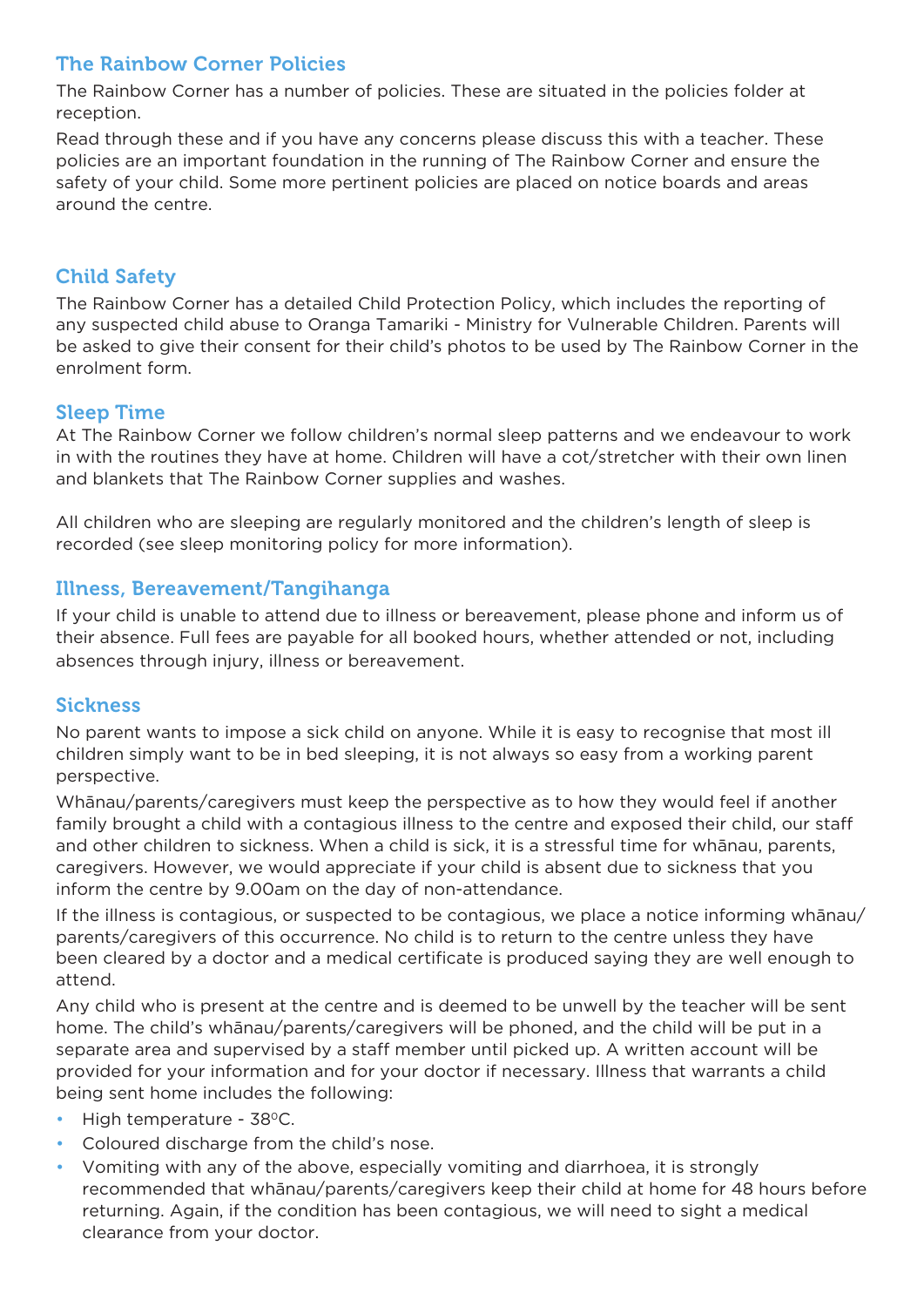# The Rainbow Corner Policies

The Rainbow Corner has a number of policies. These are situated in the policies folder at reception.

Read through these and if you have any concerns please discuss this with a teacher. These policies are an important foundation in the running of The Rainbow Corner and ensure the safety of your child. Some more pertinent policies are placed on notice boards and areas around the centre.

# Child Safety

The Rainbow Corner has a detailed Child Protection Policy, which includes the reporting of any suspected child abuse to Oranga Tamariki - Ministry for Vulnerable Children. Parents will be asked to give their consent for their child's photos to be used by The Rainbow Corner in the enrolment form.

## Sleep Time

At The Rainbow Corner we follow children's normal sleep patterns and we endeavour to work in with the routines they have at home. Children will have a cot/stretcher with their own linen and blankets that The Rainbow Corner supplies and washes.

All children who are sleeping are regularly monitored and the children's length of sleep is recorded (see sleep monitoring policy for more information).

## Illness, Bereavement/Tangihanga

If your child is unable to attend due to illness or bereavement, please phone and inform us of their absence. Full fees are payable for all booked hours, whether attended or not, including absences through injury, illness or bereavement.

## **Sickness**

No parent wants to impose a sick child on anyone. While it is easy to recognise that most ill children simply want to be in bed sleeping, it is not always so easy from a working parent perspective.

Whānau/parents/caregivers must keep the perspective as to how they would feel if another family brought a child with a contagious illness to the centre and exposed their child, our staff and other children to sickness. When a child is sick, it is a stressful time for whānau, parents, caregivers. However, we would appreciate if your child is absent due to sickness that you inform the centre by 9.00am on the day of non-attendance.

If the illness is contagious, or suspected to be contagious, we place a notice informing whānau/ parents/caregivers of this occurrence. No child is to return to the centre unless they have been cleared by a doctor and a medical certificate is produced saying they are well enough to attend.

Any child who is present at the centre and is deemed to be unwell by the teacher will be sent home. The child's whānau/parents/caregivers will be phoned, and the child will be put in a separate area and supervised by a staff member until picked up. A written account will be provided for your information and for your doctor if necessary. Illness that warrants a child being sent home includes the following:

- High temperature 38°C.
- Coloured discharge from the child's nose.
- Vomiting with any of the above, especially vomiting and diarrhoea, it is strongly recommended that whānau/parents/caregivers keep their child at home for 48 hours before returning. Again, if the condition has been contagious, we will need to sight a medical clearance from your doctor.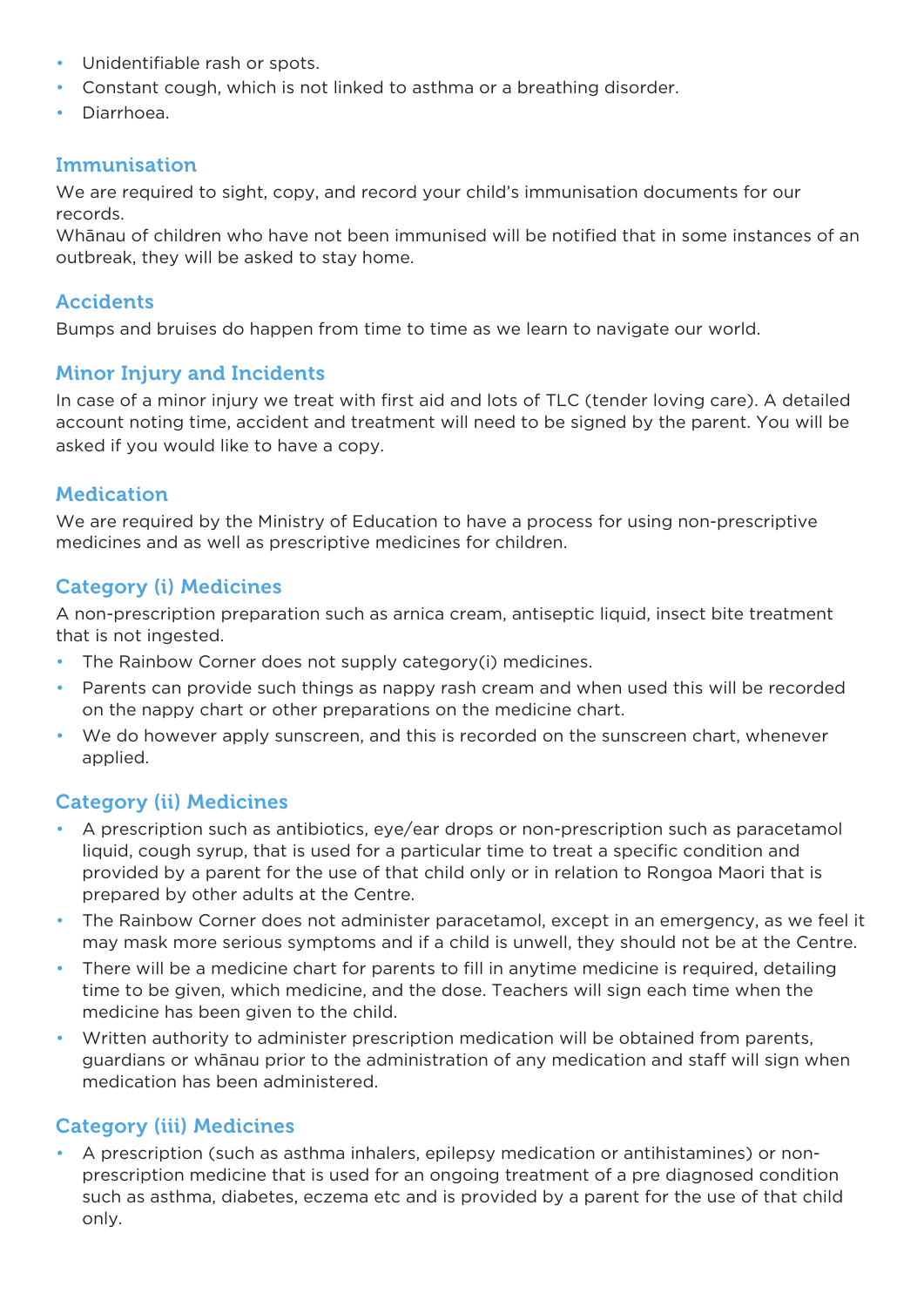- Unidentifiable rash or spots.
- Constant cough, which is not linked to asthma or a breathing disorder.
- Diarrhoea.

## Immunisation

We are required to sight, copy, and record your child's immunisation documents for our records.

Whānau of children who have not been immunised will be notified that in some instances of an outbreak, they will be asked to stay home.

#### Accidents

Bumps and bruises do happen from time to time as we learn to navigate our world.

## Minor Injury and Incidents

In case of a minor injury we treat with first aid and lots of TLC (tender loving care). A detailed account noting time, accident and treatment will need to be signed by the parent. You will be asked if you would like to have a copy.

#### Medication

We are required by the Ministry of Education to have a process for using non-prescriptive medicines and as well as prescriptive medicines for children.

## Category (i) Medicines

A non-prescription preparation such as arnica cream, antiseptic liquid, insect bite treatment that is not ingested.

- The Rainbow Corner does not supply category(i) medicines.
- Parents can provide such things as nappy rash cream and when used this will be recorded on the nappy chart or other preparations on the medicine chart.
- We do however apply sunscreen, and this is recorded on the sunscreen chart, whenever applied.

## Category (ii) Medicines

- A prescription such as antibiotics, eye/ear drops or non-prescription such as paracetamol liquid, cough syrup, that is used for a particular time to treat a specific condition and provided by a parent for the use of that child only or in relation to Rongoa Maori that is prepared by other adults at the Centre.
- The Rainbow Corner does not administer paracetamol, except in an emergency, as we feel it may mask more serious symptoms and if a child is unwell, they should not be at the Centre.
- There will be a medicine chart for parents to fill in anytime medicine is required, detailing time to be given, which medicine, and the dose. Teachers will sign each time when the medicine has been given to the child.
- Written authority to administer prescription medication will be obtained from parents, guardians or whānau prior to the administration of any medication and staff will sign when medication has been administered.

## Category (iii) Medicines

• A prescription (such as asthma inhalers, epilepsy medication or antihistamines) or nonprescription medicine that is used for an ongoing treatment of a pre diagnosed condition such as asthma, diabetes, eczema etc and is provided by a parent for the use of that child only.